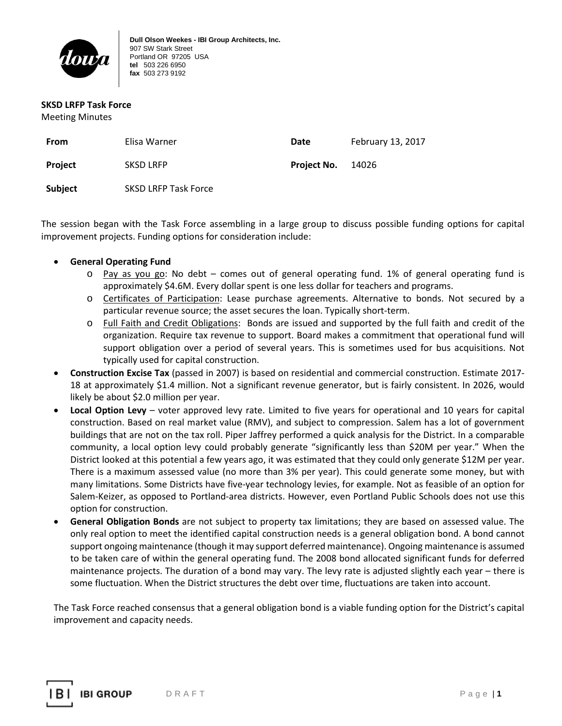

**Dull Olson Weekes - IBI Group Architects, Inc.** 907 SW Stark Street Portland OR 97205 USA **tel** 503 226 6950 **fax** 503 273 9192

#### **SKSD LRFP Task Force**

Meeting Minutes

| From    | Elisa Warner                | Date               | February 13, 2017 |
|---------|-----------------------------|--------------------|-------------------|
| Project | <b>SKSD LRFP</b>            | <b>Project No.</b> | - 14026           |
| Subject | <b>SKSD LRFP Task Force</b> |                    |                   |

The session began with the Task Force assembling in a large group to discuss possible funding options for capital improvement projects. Funding options for consideration include:

## • **General Operating Fund**

- o Pay as you go: No debt comes out of general operating fund. 1% of general operating fund is approximately \$4.6M. Every dollar spent is one less dollar for teachers and programs.
- o Certificates of Participation: Lease purchase agreements. Alternative to bonds. Not secured by a particular revenue source; the asset secures the loan. Typically short-term.
- o Full Faith and Credit Obligations: Bonds are issued and supported by the full faith and credit of the organization. Require tax revenue to support. Board makes a commitment that operational fund will support obligation over a period of several years. This is sometimes used for bus acquisitions. Not typically used for capital construction.
- **Construction Excise Tax** (passed in 2007) is based on residential and commercial construction. Estimate 2017- 18 at approximately \$1.4 million. Not a significant revenue generator, but is fairly consistent. In 2026, would likely be about \$2.0 million per year.
- **Local Option Levy** voter approved levy rate. Limited to five years for operational and 10 years for capital construction. Based on real market value (RMV), and subject to compression. Salem has a lot of government buildings that are not on the tax roll. Piper Jaffrey performed a quick analysis for the District. In a comparable community, a local option levy could probably generate "significantly less than \$20M per year." When the District looked at this potential a few years ago, it was estimated that they could only generate \$12M per year. There is a maximum assessed value (no more than 3% per year). This could generate some money, but with many limitations. Some Districts have five-year technology levies, for example. Not as feasible of an option for Salem-Keizer, as opposed to Portland-area districts. However, even Portland Public Schools does not use this option for construction.
- **General Obligation Bonds** are not subject to property tax limitations; they are based on assessed value. The only real option to meet the identified capital construction needs is a general obligation bond. A bond cannot support ongoing maintenance (though it may support deferred maintenance). Ongoing maintenance is assumed to be taken care of within the general operating fund. The 2008 bond allocated significant funds for deferred maintenance projects. The duration of a bond may vary. The levy rate is adjusted slightly each year – there is some fluctuation. When the District structures the debt over time, fluctuations are taken into account.

The Task Force reached consensus that a general obligation bond is a viable funding option for the District's capital improvement and capacity needs.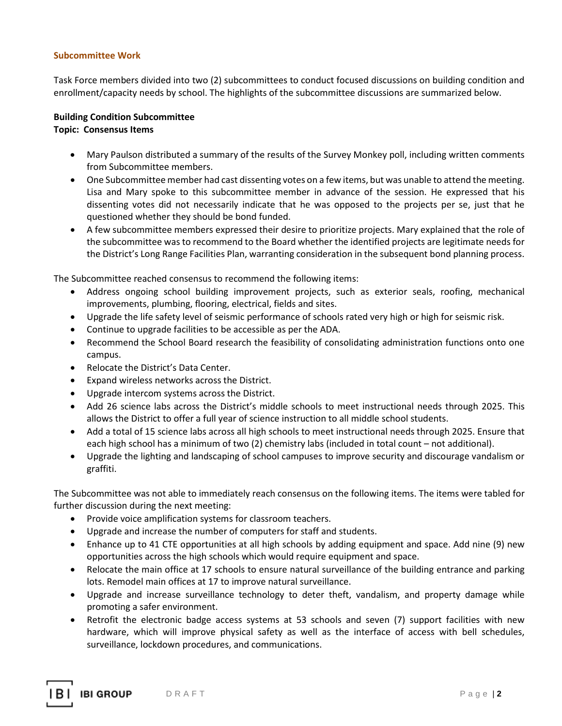## **Subcommittee Work**

Task Force members divided into two (2) subcommittees to conduct focused discussions on building condition and enrollment/capacity needs by school. The highlights of the subcommittee discussions are summarized below.

### **Building Condition Subcommittee**

### **Topic: Consensus Items**

- Mary Paulson distributed a summary of the results of the Survey Monkey poll, including written comments from Subcommittee members.
- One Subcommittee member had cast dissenting votes on a few items, but was unable to attend the meeting. Lisa and Mary spoke to this subcommittee member in advance of the session. He expressed that his dissenting votes did not necessarily indicate that he was opposed to the projects per se, just that he questioned whether they should be bond funded.
- A few subcommittee members expressed their desire to prioritize projects. Mary explained that the role of the subcommittee was to recommend to the Board whether the identified projects are legitimate needs for the District's Long Range Facilities Plan, warranting consideration in the subsequent bond planning process.

The Subcommittee reached consensus to recommend the following items:

- Address ongoing school building improvement projects, such as exterior seals, roofing, mechanical improvements, plumbing, flooring, electrical, fields and sites.
- Upgrade the life safety level of seismic performance of schools rated very high or high for seismic risk.
- Continue to upgrade facilities to be accessible as per the ADA.
- Recommend the School Board research the feasibility of consolidating administration functions onto one campus.
- Relocate the District's Data Center.
- Expand wireless networks across the District.
- Upgrade intercom systems across the District.
- Add 26 science labs across the District's middle schools to meet instructional needs through 2025. This allows the District to offer a full year of science instruction to all middle school students.
- Add a total of 15 science labs across all high schools to meet instructional needs through 2025. Ensure that each high school has a minimum of two (2) chemistry labs (included in total count – not additional).
- Upgrade the lighting and landscaping of school campuses to improve security and discourage vandalism or graffiti.

The Subcommittee was not able to immediately reach consensus on the following items. The items were tabled for further discussion during the next meeting:

- Provide voice amplification systems for classroom teachers.
- Upgrade and increase the number of computers for staff and students.
- Enhance up to 41 CTE opportunities at all high schools by adding equipment and space. Add nine (9) new opportunities across the high schools which would require equipment and space.
- Relocate the main office at 17 schools to ensure natural surveillance of the building entrance and parking lots. Remodel main offices at 17 to improve natural surveillance.
- Upgrade and increase surveillance technology to deter theft, vandalism, and property damage while promoting a safer environment.
- Retrofit the electronic badge access systems at 53 schools and seven (7) support facilities with new hardware, which will improve physical safety as well as the interface of access with bell schedules, surveillance, lockdown procedures, and communications.